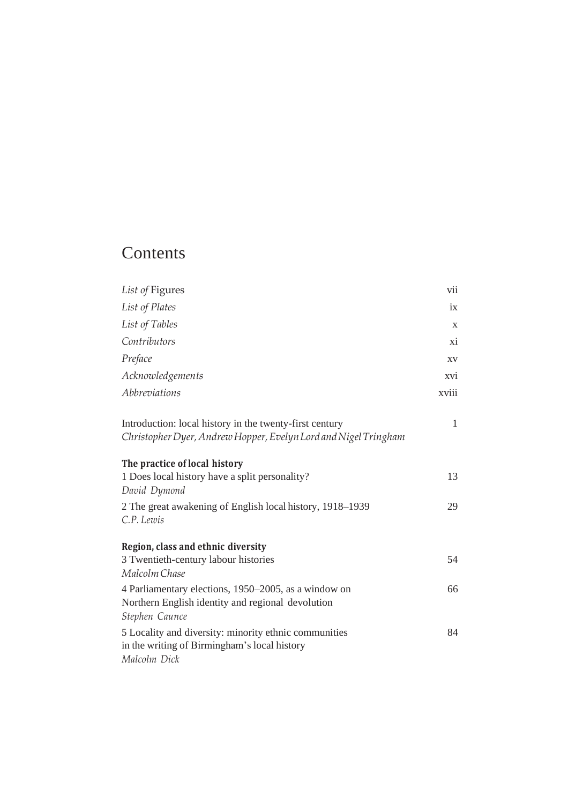# Contents

| List of Figures                                                                                                             | vii          |
|-----------------------------------------------------------------------------------------------------------------------------|--------------|
| List of Plates                                                                                                              | ix           |
| List of Tables                                                                                                              | X            |
| Contributors                                                                                                                | xi           |
| Preface                                                                                                                     | XV           |
| Acknowledgements                                                                                                            | xvi          |
| Abbreviations                                                                                                               | xviii        |
| Introduction: local history in the twenty-first century<br>Christopher Dyer, Andrew Hopper, Evelyn Lord and Nigel Tringham  | $\mathbf{1}$ |
| The practice of local history<br>1 Does local history have a split personality?<br>David Dymond                             | 13           |
| 2 The great awakening of English local history, 1918-1939<br>C.P. Lewis                                                     | 29           |
| Region, class and ethnic diversity<br>3 Twentieth-century labour histories<br>Malcolm Chase                                 | 54           |
| 4 Parliamentary elections, 1950–2005, as a window on<br>Northern English identity and regional devolution<br>Stephen Caunce | 66           |
| 5 Locality and diversity: minority ethnic communities<br>in the writing of Birmingham's local history<br>Malcolm Dick       | 84           |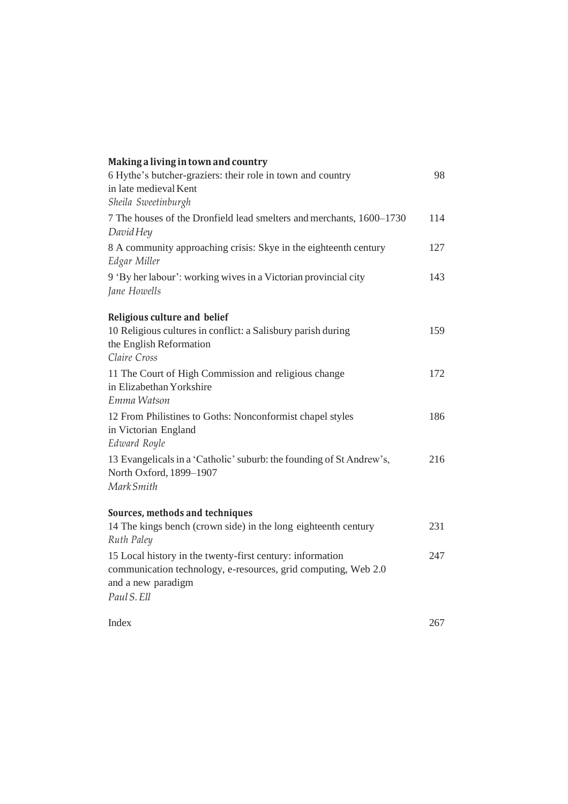| Making a living in town and country                                                                                                                              |     |
|------------------------------------------------------------------------------------------------------------------------------------------------------------------|-----|
| 6 Hythe's butcher-graziers: their role in town and country                                                                                                       | 98  |
| in late medieval Kent                                                                                                                                            |     |
| Sheila Sweetinburgh                                                                                                                                              |     |
| 7 The houses of the Dronfield lead smelters and merchants, 1600-1730<br>David Hey                                                                                | 114 |
| 8 A community approaching crisis: Skye in the eighteenth century<br>Edgar Miller                                                                                 | 127 |
| 9 'By her labour': working wives in a Victorian provincial city<br>Jane Howells                                                                                  | 143 |
| Religious culture and belief                                                                                                                                     |     |
| 10 Religious cultures in conflict: a Salisbury parish during<br>the English Reformation<br>Claire Cross                                                          | 159 |
| 11 The Court of High Commission and religious change<br>in Elizabethan Yorkshire<br>Emma Watson                                                                  | 172 |
| 12 From Philistines to Goths: Nonconformist chapel styles<br>in Victorian England<br>Edward Royle                                                                | 186 |
| 13 Evangelicals in a 'Catholic' suburb: the founding of St Andrew's,<br>North Oxford, 1899-1907<br>Mark Smith                                                    | 216 |
| Sources, methods and techniques                                                                                                                                  |     |
| 14 The kings bench (crown side) in the long eighteenth century<br>Ruth Paley                                                                                     | 231 |
| 15 Local history in the twenty-first century: information<br>communication technology, e-resources, grid computing, Web 2.0<br>and a new paradigm<br>Paul S. Ell | 247 |
| Index                                                                                                                                                            | 267 |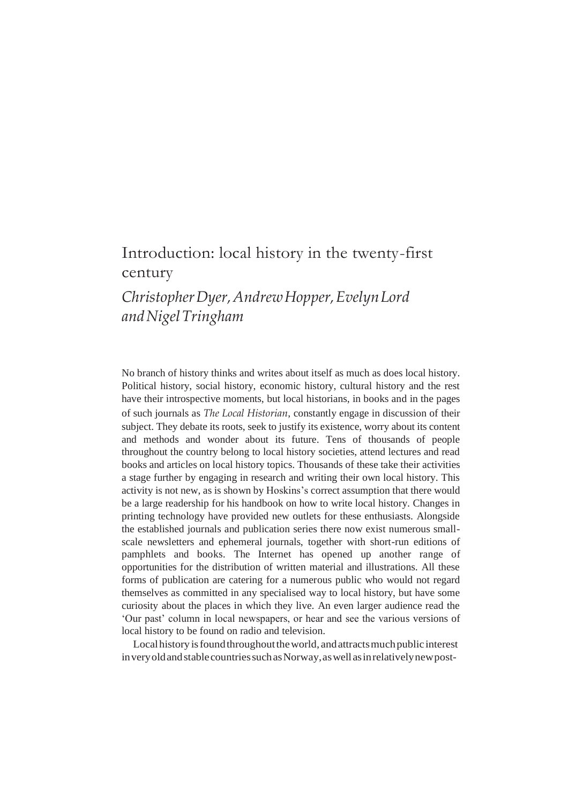## Introduction: local history in the twenty-first century

### *ChristopherDyer,AndrewHopper,EvelynLord andNigelTringham*

No branch of history thinks and writes about itself as much as does local history. Political history, social history, economic history, cultural history and the rest have their introspective moments, but local historians, in books and in the pages of such journals as *The Local Historian*, constantly engage in discussion of their subject. They debate its roots, seek to justify its existence, worry about its content and methods and wonder about its future. Tens of thousands of people throughout the country belong to local history societies, attend lectures and read books and articles on local history topics. Thousands of these take their activities a stage further by engaging in research and writing their own local history. This activity is not new, as is shown by Hoskins's correct assumption that there would be a large readership for his handbook on how to write local history. Changes in printing technology have provided new outlets for these enthusiasts. Alongside the established journals and publication series there now exist numerous smallscale newsletters and ephemeral journals, together with short-run editions of pamphlets and books. The Internet has opened up another range of opportunities for the distribution of written material and illustrations. All these forms of publication are catering for a numerous public who would not regard themselves as committed in any specialised way to local history, but have some curiosity about the places in which they live. An even larger audience read the 'Our past' column in local newspapers, or hear and see the various versions of local history to be found on radio and television.

Local history is found throughout the world, and attracts much public interest invery old and stable countries such as Norway, as well as in relatively new post-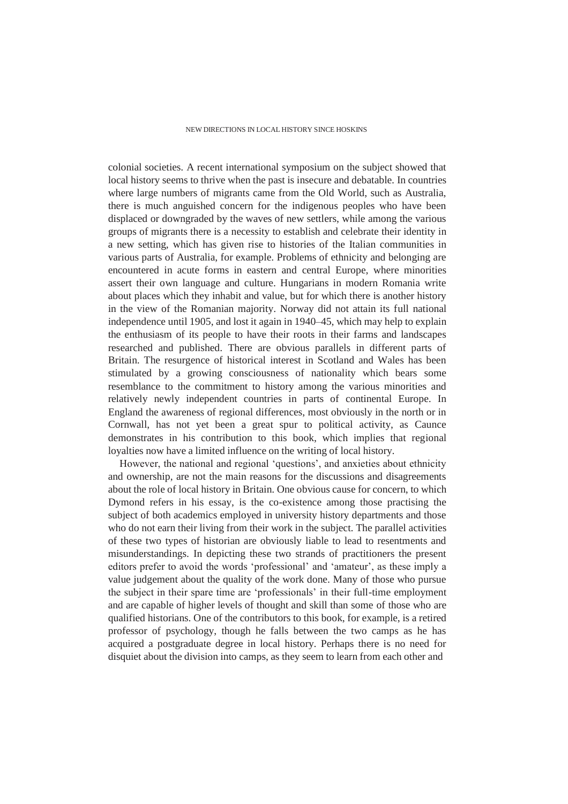#### NEW DIRECTIONS IN LOCAL HISTORY SINCE HOSKINS

colonial societies. A recent international symposium on the subject showed that local history seems to thrive when the past is insecure and debatable. In countries where large numbers of migrants came from the Old World, such as Australia, there is much anguished concern for the indigenous peoples who have been displaced or downgraded by the waves of new settlers, while among the various groups of migrants there is a necessity to establish and celebrate their identity in a new setting, which has given rise to histories of the Italian communities in various parts of Australia, for example. Problems of ethnicity and belonging are encountered in acute forms in eastern and central Europe, where minorities assert their own language and culture. Hungarians in modern Romania write about places which they inhabit and value, but for which there is another history in the view of the Romanian majority. Norway did not attain its full national independence until 1905, and lost it again in 1940–45, which may help to explain the enthusiasm of its people to have their roots in their farms and landscapes researched and published. There are obvious parallels in different parts of Britain. The resurgence of historical interest in Scotland and Wales has been stimulated by a growing consciousness of nationality which bears some resemblance to the commitment to history among the various minorities and relatively newly independent countries in parts of continental Europe. In England the awareness of regional differences, most obviously in the north or in Cornwall, has not yet been a great spur to political activity, as Caunce demonstrates in his contribution to this book, which implies that regional loyalties now have a limited influence on the writing of local history.

However, the national and regional 'questions', and anxieties about ethnicity and ownership, are not the main reasons for the discussions and disagreements about the role of local history in Britain. One obvious cause for concern, to which Dymond refers in his essay, is the co-existence among those practising the subject of both academics employed in university history departments and those who do not earn their living from their work in the subject. The parallel activities of these two types of historian are obviously liable to lead to resentments and misunderstandings. In depicting these two strands of practitioners the present editors prefer to avoid the words 'professional' and 'amateur', as these imply a value judgement about the quality of the work done. Many of those who pursue the subject in their spare time are 'professionals' in their full-time employment and are capable of higher levels of thought and skill than some of those who are qualified historians. One of the contributors to this book, for example, is a retired professor of psychology, though he falls between the two camps as he has acquired a postgraduate degree in local history. Perhaps there is no need for disquiet about the division into camps, as they seem to learn from each other and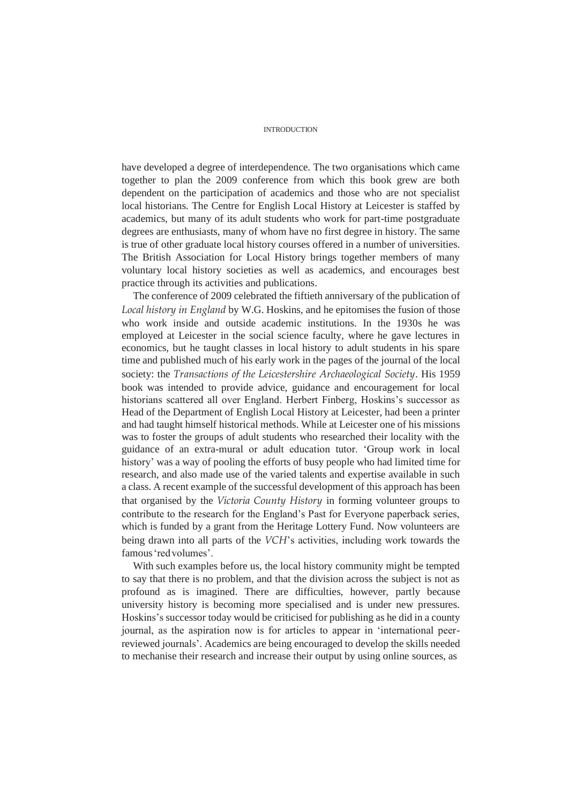#### **INTRODUCTION**

have developed a degree of interdependence. The two organisations which came together to plan the 2009 conference from which this book grew are both dependent on the participation of academics and those who are not specialist local historians. The Centre for English Local History at Leicester is staffed by academics, but many of its adult students who work for part-time postgraduate degrees are enthusiasts, many of whom have no first degree in history. The same is true of other graduate local history courses offered in a number of universities. The British Association for Local History brings together members of many voluntary local history societies as well as academics, and encourages best practice through its activities and publications.

The conference of 2009 celebrated the fiftieth anniversary of the publication of *Local history in England* by W.G. Hoskins, and he epitomises the fusion of those who work inside and outside academic institutions. In the 1930s he was employed at Leicester in the social science faculty, where he gave lectures in economics, but he taught classes in local history to adult students in his spare time and published much of his early work in the pages of the journal of the local society: the *Transactions of the Leicestershire Archaeological Society*. His 1959 book was intended to provide advice, guidance and encouragement for local historians scattered all over England. Herbert Finberg, Hoskins's successor as Head of the Department of English Local History at Leicester, had been a printer and had taught himself historical methods. While at Leicester one of his missions was to foster the groups of adult students who researched their locality with the guidance of an extra-mural or adult education tutor. 'Group work in local history' was a way of pooling the efforts of busy people who had limited time for research, and also made use of the varied talents and expertise available in such a class. A recent example of the successful development of this approach has been that organised by the *Victoria County History* in forming volunteer groups to contribute to the research for the England's Past for Everyone paperback series, which is funded by a grant from the Heritage Lottery Fund. Now volunteers are being drawn into all parts of the *VCH*'s activities, including work towards the famous'redvolumes'.

With such examples before us, the local history community might be tempted to say that there is no problem, and that the division across the subject is not as profound as is imagined. There are difficulties, however, partly because university history is becoming more specialised and is under new pressures. Hoskins's successor today would be criticised for publishing as he did in a county journal, as the aspiration now is for articles to appear in 'international peerreviewed journals'. Academics are being encouraged to develop the skills needed to mechanise their research and increase their output by using online sources, as